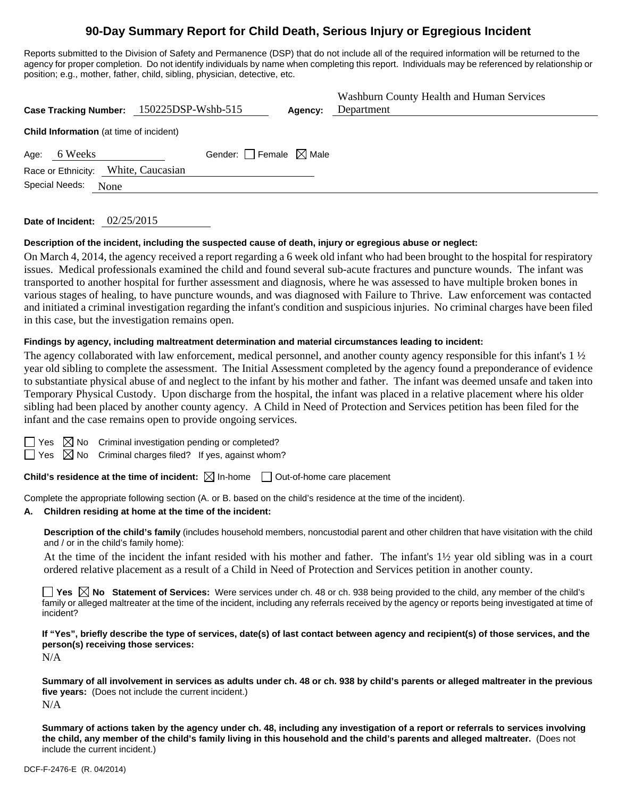# **90-Day Summary Report for Child Death, Serious Injury or Egregious Incident**

Reports submitted to the Division of Safety and Permanence (DSP) that do not include all of the required information will be returned to the agency for proper completion. Do not identify individuals by name when completing this report. Individuals may be referenced by relationship or position; e.g., mother, father, child, sibling, physician, detective, etc.

| Case Tracking Number: 150225DSP-Wshb-515       |                                 | Agency: | Washburn County Health and Human Services<br>Department |  |  |  |  |
|------------------------------------------------|---------------------------------|---------|---------------------------------------------------------|--|--|--|--|
| <b>Child Information</b> (at time of incident) |                                 |         |                                                         |  |  |  |  |
| 6 Weeks<br>Age:                                | Gender: Female $\boxtimes$ Male |         |                                                         |  |  |  |  |
| Race or Ethnicity: White, Caucasian            |                                 |         |                                                         |  |  |  |  |
| Special Needs:<br>None                         |                                 |         |                                                         |  |  |  |  |
|                                                |                                 |         |                                                         |  |  |  |  |

**Date of Incident:** 02/25/2015

#### **Description of the incident, including the suspected cause of death, injury or egregious abuse or neglect:**

On March 4, 2014, the agency received a report regarding a 6 week old infant who had been brought to the hospital for respiratory issues. Medical professionals examined the child and found several sub-acute fractures and puncture wounds. The infant was transported to another hospital for further assessment and diagnosis, where he was assessed to have multiple broken bones in various stages of healing, to have puncture wounds, and was diagnosed with Failure to Thrive. Law enforcement was contacted and initiated a criminal investigation regarding the infant's condition and suspicious injuries. No criminal charges have been filed in this case, but the investigation remains open.

#### **Findings by agency, including maltreatment determination and material circumstances leading to incident:**

The agency collaborated with law enforcement, medical personnel, and another county agency responsible for this infant's 1  $\frac{1}{2}$ year old sibling to complete the assessment. The Initial Assessment completed by the agency found a preponderance of evidence to substantiate physical abuse of and neglect to the infant by his mother and father. The infant was deemed unsafe and taken into Temporary Physical Custody. Upon discharge from the hospital, the infant was placed in a relative placement where his older sibling had been placed by another county agency. A Child in Need of Protection and Services petition has been filed for the infant and the case remains open to provide ongoing services.

 $\boxtimes$  No Criminal investigation pending or completed?

 $\boxtimes$  No Criminal charges filed? If yes, against whom?

**Child's residence at the time of incident:** ⊠ In-home □ Out-of-home care placement

Complete the appropriate following section (A. or B. based on the child's residence at the time of the incident).

#### **A. Children residing at home at the time of the incident:**

**Description of the child's family** (includes household members, noncustodial parent and other children that have visitation with the child and / or in the child's family home):

 At the time of the incident the infant resided with his mother and father. The infant's 1½ year old sibling was in a court ordered relative placement as a result of a Child in Need of Protection and Services petition in another county.

■ Yes **No** Statement of Services: Were services under ch. 48 or ch. 938 being provided to the child, any member of the child's family or alleged maltreater at the time of the incident, including any referrals received by the agency or reports being investigated at time of incident?

**If "Yes", briefly describe the type of services, date(s) of last contact between agency and recipient(s) of those services, and the person(s) receiving those services:** 

N/A

**Summary of all involvement in services as adults under ch. 48 or ch. 938 by child's parents or alleged maltreater in the previous five years:** (Does not include the current incident.) N/A

**Summary of actions taken by the agency under ch. 48, including any investigation of a report or referrals to services involving the child, any member of the child's family living in this household and the child's parents and alleged maltreater.** (Does not include the current incident.)